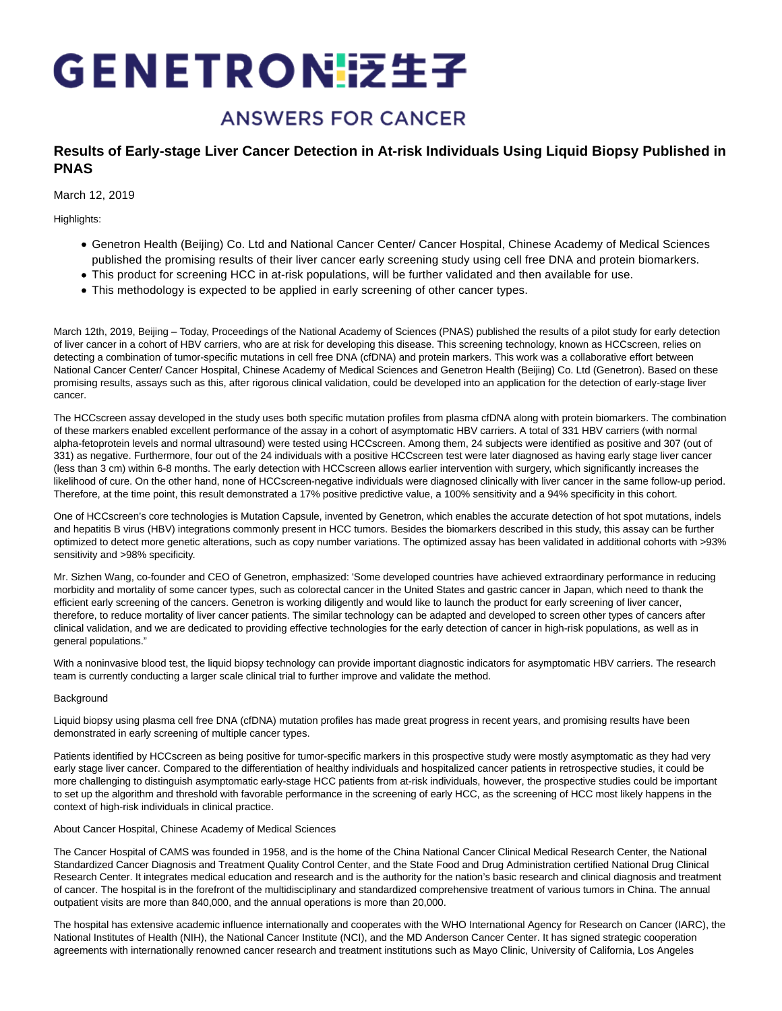# GENETRONI泛生子

## **ANSWERS FOR CANCER**

### **Results of Early-stage Liver Cancer Detection in At-risk Individuals Using Liquid Biopsy Published in PNAS**

March 12, 2019

Highlights:

- Genetron Health (Beijing) Co. Ltd and National Cancer Center/ Cancer Hospital, Chinese Academy of Medical Sciences published the promising results of their liver cancer early screening study using cell free DNA and protein biomarkers.
- This product for screening HCC in at-risk populations, will be further validated and then available for use.
- This methodology is expected to be applied in early screening of other cancer types.

March 12th, 2019, Beijing – Today, Proceedings of the National Academy of Sciences (PNAS) published the results of a pilot study for early detection of liver cancer in a cohort of HBV carriers, who are at risk for developing this disease. This screening technology, known as HCCscreen, relies on detecting a combination of tumor-specific mutations in cell free DNA (cfDNA) and protein markers. This work was a collaborative effort between National Cancer Center/ Cancer Hospital, Chinese Academy of Medical Sciences and Genetron Health (Beijing) Co. Ltd (Genetron). Based on these promising results, assays such as this, after rigorous clinical validation, could be developed into an application for the detection of early-stage liver cancer.

The HCCscreen assay developed in the study uses both specific mutation profiles from plasma cfDNA along with protein biomarkers. The combination of these markers enabled excellent performance of the assay in a cohort of asymptomatic HBV carriers. A total of 331 HBV carriers (with normal alpha-fetoprotein levels and normal ultrasound) were tested using HCCscreen. Among them, 24 subjects were identified as positive and 307 (out of 331) as negative. Furthermore, four out of the 24 individuals with a positive HCCscreen test were later diagnosed as having early stage liver cancer (less than 3 cm) within 6-8 months. The early detection with HCCscreen allows earlier intervention with surgery, which significantly increases the likelihood of cure. On the other hand, none of HCCscreen-negative individuals were diagnosed clinically with liver cancer in the same follow-up period. Therefore, at the time point, this result demonstrated a 17% positive predictive value, a 100% sensitivity and a 94% specificity in this cohort.

One of HCCscreen's core technologies is Mutation Capsule, invented by Genetron, which enables the accurate detection of hot spot mutations, indels and hepatitis B virus (HBV) integrations commonly present in HCC tumors. Besides the biomarkers described in this study, this assay can be further optimized to detect more genetic alterations, such as copy number variations. The optimized assay has been validated in additional cohorts with >93% sensitivity and >98% specificity.

Mr. Sizhen Wang, co-founder and CEO of Genetron, emphasized: 'Some developed countries have achieved extraordinary performance in reducing morbidity and mortality of some cancer types, such as colorectal cancer in the United States and gastric cancer in Japan, which need to thank the efficient early screening of the cancers. Genetron is working diligently and would like to launch the product for early screening of liver cancer, therefore, to reduce mortality of liver cancer patients. The similar technology can be adapted and developed to screen other types of cancers after clinical validation, and we are dedicated to providing effective technologies for the early detection of cancer in high-risk populations, as well as in general populations."

With a noninvasive blood test, the liquid biopsy technology can provide important diagnostic indicators for asymptomatic HBV carriers. The research team is currently conducting a larger scale clinical trial to further improve and validate the method.

#### Background

Liquid biopsy using plasma cell free DNA (cfDNA) mutation profiles has made great progress in recent years, and promising results have been demonstrated in early screening of multiple cancer types.

Patients identified by HCCscreen as being positive for tumor-specific markers in this prospective study were mostly asymptomatic as they had very early stage liver cancer. Compared to the differentiation of healthy individuals and hospitalized cancer patients in retrospective studies, it could be more challenging to distinguish asymptomatic early-stage HCC patients from at-risk individuals, however, the prospective studies could be important to set up the algorithm and threshold with favorable performance in the screening of early HCC, as the screening of HCC most likely happens in the context of high-risk individuals in clinical practice.

#### About Cancer Hospital, Chinese Academy of Medical Sciences

The Cancer Hospital of CAMS was founded in 1958, and is the home of the China National Cancer Clinical Medical Research Center, the National Standardized Cancer Diagnosis and Treatment Quality Control Center, and the State Food and Drug Administration certified National Drug Clinical Research Center. It integrates medical education and research and is the authority for the nation's basic research and clinical diagnosis and treatment of cancer. The hospital is in the forefront of the multidisciplinary and standardized comprehensive treatment of various tumors in China. The annual outpatient visits are more than 840,000, and the annual operations is more than 20,000.

The hospital has extensive academic influence internationally and cooperates with the WHO International Agency for Research on Cancer (IARC), the National Institutes of Health (NIH), the National Cancer Institute (NCI), and the MD Anderson Cancer Center. It has signed strategic cooperation agreements with internationally renowned cancer research and treatment institutions such as Mayo Clinic, University of California, Los Angeles